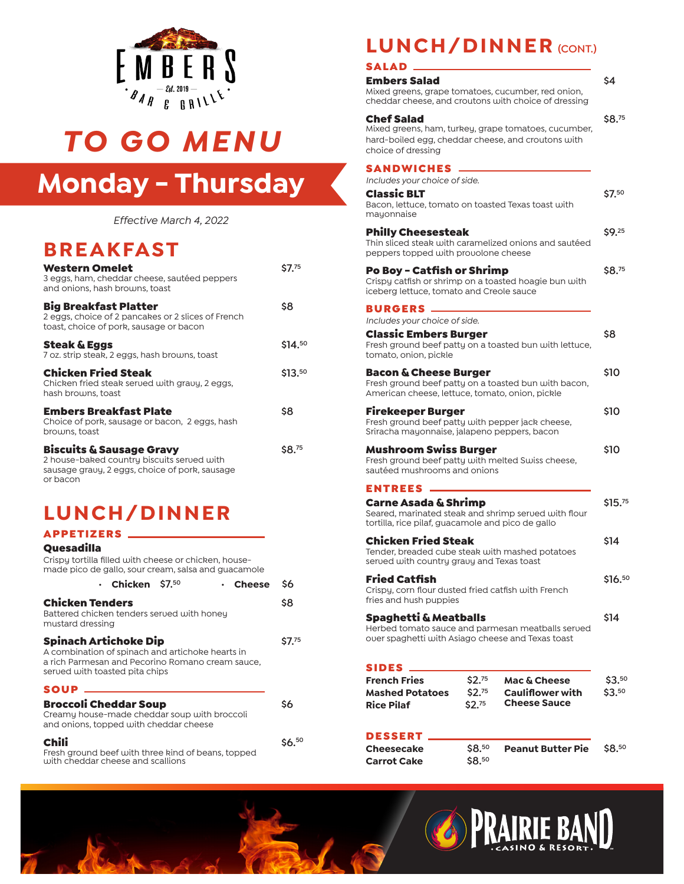

# *TO GO MENU*

# **Monday - Thursday**

*Effective March 4, 2022*

### **BREAKFAST**

| <b>Western Omelet</b><br>3 eggs, ham, cheddar cheese, sautéed peppers<br>and onions, hash browns, toast                                         | \$7.75  |
|-------------------------------------------------------------------------------------------------------------------------------------------------|---------|
| <b>Big Breakfast Platter</b><br>2 eggs, choice of 2 pancakes or 2 slices of French<br>toast, choice of pork, sausage or bacon                   | \$8     |
| <b>Steak &amp; Eggs</b><br>7 oz. strip steak, 2 eggs, hash browns, toast                                                                        | \$14.50 |
| <b>Chicken Fried Steak</b><br>Chicken fried steak served with gravy, 2 eggs,<br>hash browns, toast                                              | \$13.50 |
| <b>Embers Breakfast Plate</b><br>Choice of pork, sausage or bacon, 2 eggs, hash<br>browns, toast                                                | \$8     |
| <b>Biscuits &amp; Sausage Gravy</b><br>2 house-baked country biscuits served with<br>sausage gravy, 2 eggs, choice of pork, sausage<br>or bacon | \$8.75  |

## **LUNCH/DINNER**

| <b>APPETIZERS</b> |  |  |  |  |  |
|-------------------|--|--|--|--|--|
| Quesadilla        |  |  |  |  |  |

| Crispy tortilla filled with cheese or chicken, house-<br>made pico de gallo, sour cream, salsa and guacamole                                                           |       |
|------------------------------------------------------------------------------------------------------------------------------------------------------------------------|-------|
| • Chicken $$7.50$<br>• Cheese                                                                                                                                          | \$6   |
| <b>Chicken Tenders</b><br>Battered chicken tenders served with honey<br>mustard dressing                                                                               | \$8   |
| <b>Spinach Artichoke Dip</b><br>A combination of spinach and artichoke hearts in<br>a rich Parmesan and Pecorino Romano cream sauce,<br>served with toasted pita chips | S7.75 |
| <b>SOUP</b>                                                                                                                                                            |       |
| <b>Broccoli Cheddar Soup</b><br>Creamy house-made cheddar soup with broccoli<br>and onions, topped with cheddar cheese                                                 | \$6   |
|                                                                                                                                                                        |       |

Fresh ground beef with three kind of beans, topped with cheddar cheese and scallions

## **LUNCH/DINNER (CONT.)**

### SALAD

| Cheesecake                                                                                                                        | \$8.50                       | <b>Peanut Butter Pie</b>                               | \$8.50     |
|-----------------------------------------------------------------------------------------------------------------------------------|------------------------------|--------------------------------------------------------|------------|
| DESSERT                                                                                                                           |                              |                                                        |            |
| <b>Mashed Potatoes</b><br>Rice Pilaf                                                                                              | \$2. <sup>75</sup><br>\$2.75 | <b>Cauliflower with</b><br><b>Cheese Sauce</b>         | \$3.50     |
| SIDES<br>French Fries                                                                                                             | \$2.75                       | <b>Mac &amp; Cheese</b>                                | \$3.50     |
| Spaghetti & Meatballs<br>over spaghetti with Asiago cheese and Texas toast                                                        |                              | Herbed tomato sauce and parmesan meatballs served      | \$14       |
| Fried Catfish<br>Crispy, corn flour dusted fried catfish with French<br>fries and hush puppies                                    |                              |                                                        | \$16.50    |
| Chicken Fried Steak<br>Tender, breaded cube steak with mashed potatoes<br>served with country gravy and Texas toast               |                              |                                                        | \$14       |
| Carne Asada & Shrimp<br>Seared, marinated steak and shrimp served with flour<br>tortilla, rice pilaf, guacamole and pico de gallo |                              |                                                        | \$15.75    |
| sautéed mushrooms and onions<br><b>ENTREES</b>                                                                                    |                              |                                                        |            |
| Mushroom Swiss Burger<br>Fresh ground beef patty with melted Swiss cheese,                                                        |                              |                                                        | <b>S10</b> |
| Firekeeper Burger<br>Fresh ground beef patty with pepper jack cheese,<br>Sriracha mayonnaise, jalapeno peppers, bacon             |                              |                                                        | \$10       |
| Bacon & Cheese Burger<br>American cheese, lettuce, tomato, onion, pickle                                                          |                              | Fresh ground beef patty on a toasted bun with bacon,   | \$10       |
| Classic Embers Burger<br>tomato, onion, pickle                                                                                    |                              | Fresh ground beef patty on a toasted bun with lettuce, | \$8        |
| <b>BURGERS</b><br>Includes your choice of side.                                                                                   |                              |                                                        |            |
| Po Boy – Catfish or Shrimp<br>Crispy catfish or shrimp on a toasted hoagie bun with<br>iceberg lettuce, tomato and Creole sauce   |                              |                                                        | \$8.75     |
| <b>Philly Cheesesteak</b><br>peppers topped with provolone cheese                                                                 |                              | Thin sliced steak with caramelized onions and sautéed  | \$9.25     |
| Includes your choice of side.<br>Classic BLT<br>Bacon, lettuce, tomato on toasted Texas toast with<br>mayonnaise                  |                              |                                                        | \$7.50     |
| SANDWICHES                                                                                                                        |                              |                                                        |            |
| Chef Salad<br>hard-boiled egg, cheddar cheese, and croutons with<br>choice of dressing                                            |                              | Mixed greens, ham, turkey, grape tomatoes, cucumber,   | \$8.75     |
| Embers Salad<br>Mixed greens, grape tomatoes, cucumber, red onion,                                                                |                              | cheddar cheese, and croutons with choice of dressing   | \$4        |
| SALAD                                                                                                                             |                              |                                                        |            |



**Carrot Cake \$8.50**